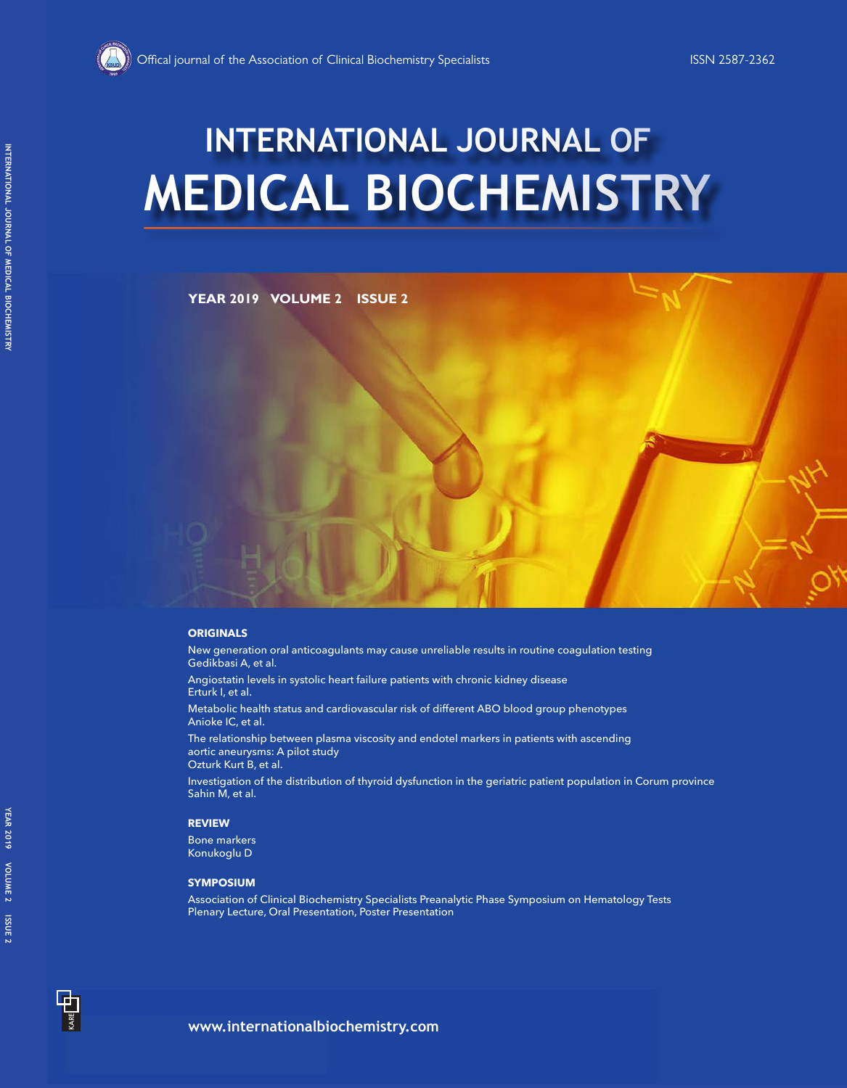# **MEDICAL BIOCHEMISTRY INTERNATIONAL JOURNAL OF**

### **YEAR 2019 VOLUME 2 ISSUE 2**

### **ORIGINALS**

New generation oral anticoagulants may cause unreliable results in routine coagulation testing Gedikbasi A, et al.

Angiostatin levels in systolic heart failure patients with chronic kidney disease Erturk I, et al.

Metabolic health status and cardiovascular risk of different ABO blood group phenotypes Anioke IC, et al.

The relationship between plasma viscosity and endotel markers in patients with ascending aortic aneurysms: A pilot study Ozturk Kurt B, et al.

Investigation of the distribution of thyroid dysfunction in the geriatric patient population in Corum province Sahin M, et al.

### **REVIEW**

Bone markers Konukoglu D

### **SYMPOSIUM**

Association of Clinical Biochemistry Specialists Preanalytic Phase Symposium on Hematology Tests Plenary Lecture, Oral Presentation, Poster Presentation

KARE **TILL**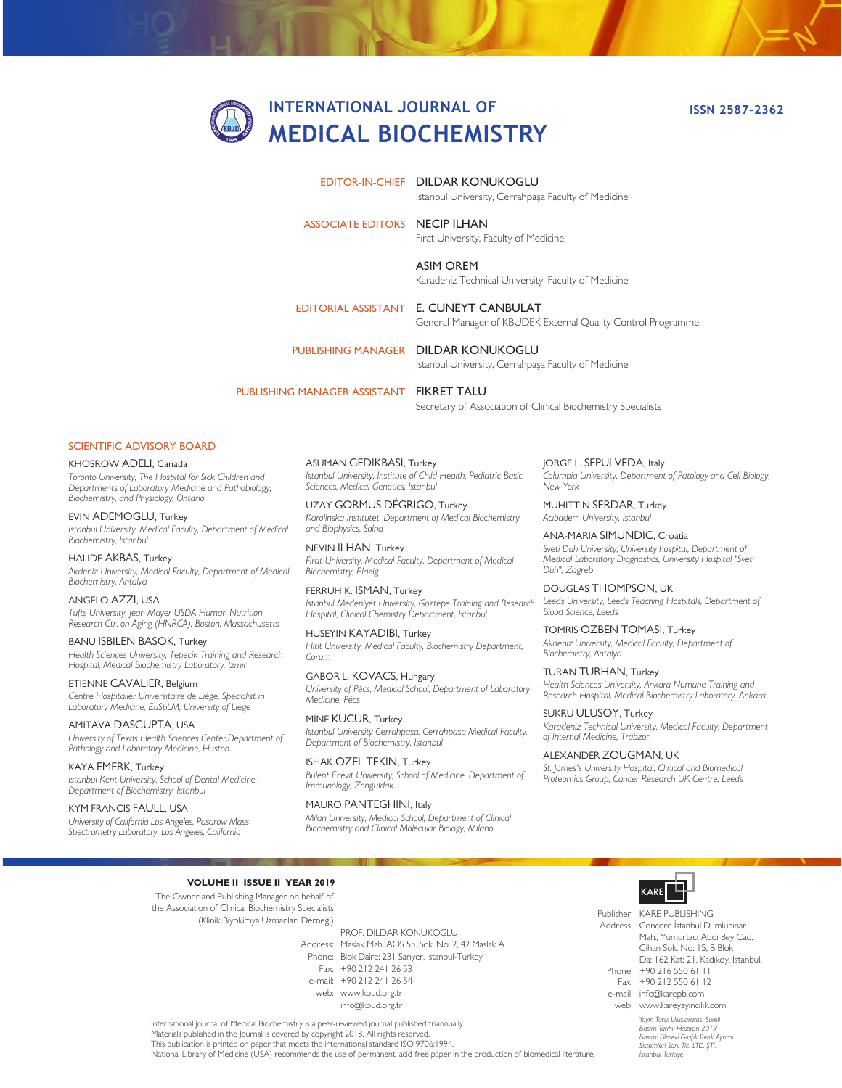# **INTERNATIONAL JOURNAL OF MEDICAL BIOCHEMISTRY**

EDITOR-IN-CHIEF DILDAR KONUKOGLU

Istanbul University, Cerrahpaşa Faculty of Medicine

ASSOCIATE EDITORS NECIP ILHAN

Fırat University, Faculty of Medicine

ASIM OREM Karadeniz Technical University, Faculty of Medicine

EDITORIAL ASSISTANT E. CUNEYT CANBULAT General Manager of KBUDEK External Quality Control Programme

PUBLISHING MANAGER DILDAR KONUKOGLU

Istanbul University, Cerrahpaşa Faculty of Medicine

PUBLISHING MANAGER ASSISTANT FIKRET TALU

Secretary of Association of Clinical Biochemistry Specialists

#### SCIENTIFIC ADVISORY BOARD

KHOSROW ADELI, Canada *Toronto University, The Hospital for Sick Children and Departments of Laboratory Medicine and Pathobiology, Biochemistry, and Physiology, Ontario*

EVIN ADEMOGLU, Turkey *Istanbul University, Medical Faculty, Department of Medical Biochemistry, Istanbul*

HALIDE AKBAS, Turkey *Akdeniz University, Medical Faculty, Department of Medical Biochemistry, Antalya*

ANGELO AZZI, USA *Tufts University, Jean Mayer USDA Human Nutrition Research Ctr. on Aging (HNRCA), Boston, Massachusetts*

BANU ISBILEN BASOK, Turkey *Health Sciences University, Tepecik Training and Research Hospital, Medical Biochemistry Laboratory, Izmir*

ETIENNE CAVALIER, Belgium *Centre Hospitalier Universitaire de Liège, Specialist in Laboratory Medicine, EuSpLM, University of Liège*

AMITAVA DASGUPTA, USA *University of Texas Health Sciences Center,Department of Pathology and Laboratory Medicine, Huston*

KAYA EMERK, Turkey *Istanbul Kent University, School of Dental Medicine, Department of Biochemistry, Istanbul*

KYM FRANCIS FAULL, USA *University of California Los Angeles, Pasarow Mass Spectrometry Laboratory, Los Angeles, California*

ASUMAN GEDIKBASI, Turkey *Istanbul University, Institute of Child Health, Pediatric Basic Sciences, Medical Genetics, Istanbul*

UZAY GORMUS DÉGRIGO, Turkey *Karolinska Institutet, Department of Medical Biochemistry and Biophysics, Solna*

NEVIN ILHAN, Turkey *Firat University, Medical Faculty, Department of Medical Biochemistry, Elazig*

FERRUH K. ISMAN, Turkey *Istanbul Medeniyet University, Goztepe Training and Research Hospital, Clinical Chemistry Department, Istanbul*

HUSEYIN KAYADIBI, Turkey *Hitit University, Medical Faculty, Biochemistry Department, Corum*

GABOR L. KOVACS, Hungary *University of Pécs, Medical School, Department of Laboratory Medicine, Pécs*

MINE KUCUR, Turkey *Istanbul University Cerrahpasa, Cerrahpasa Medical Faculty, Department of Biochemistry, Istanbul*

ISHAK OZEL TEKIN, Turkey *Bulent Ecevit University, School of Medicine, Department of Immunology, Zonguldak*

MAURO PANTEGHINI, Italy *Milan University, Medical School, Department of Clinical Biochemistry and Clinical Molecular Biology, Milano*

JORGE L. SEPULVEDA, Italy *Columbia University, Department of Patology and Cell Biology, New York*

MUHITTIN SERDAR, Turkey *Acıbadem University, Istanbul*

ANA-MARIA SIMUNDIC, Croatia *Sveti Duh University, University hospital, Department of Medical Laboratory Diagnostics, University Hospital "Sveti Duh", Zagreb*

DOUGLAS THOMPSON, UK *Leeds University, Leeds Teaching Hospitals, Department of Blood Science, Leeds*

TOMRIS OZBEN TOMASI, Turkey *Akdeniz University, Medical Faculty, Department of Biochemistry, Antalya*

TURAN TURHAN, Turkey *Health Sciences University, Ankara Numune Training and Research Hospital, Medical Biochemistry Laboratory, Ankara*

SUKRU ULUSOY, Turkey *Karadeniz Technical University, Medical Faculty, Department of Internal Medicine, Trabzon*

ALEXANDER ZOUGMAN, UK *St. James's University Hospital, Clinical and Biomedical Proteomics Group, Cancer Research UK Centre, Leeds*

**VOLUME II ISSUE II YEAR 2019**

The Owner and Publishing Manager on behalf of the Association of Clinical Biochemistry Specialists (Klinik Biyokimya Uzmanları Derneği)

> Address: Maslak Mah. AOS 55. Sok. No: 2, 42 Maslak A Phone: Blok Daire: 231 Sarıyer, İstanbul-Turkey Fax: +90 212 241 26 53 e-mail: +90 212 241 26 54 web: www.kbud.org.tr PROF. DILDAR KONUKOGLU info@kbud.org.tr



Publisher: KARE PUBLISHING Address: Concord İstanbul Dumlupınar Phone: +90 216 550 61 11 Fax: +90 212 550 61 12 e-mail: info@karepb.com web: www.kareyayincilik.com Mah., Yumurtacı Abdi Bey Cad. Cihan Sok. No: 15, B Blok Da: 162 Kat: 21, Kadıköy, İstanbul,

International Journal of Medical Biochemistry is a peer-reviewed journal published triannually. Materials published in the Journal is covered by copyright 2018. All rights reserved. This publication is printed on paper that meets the international standard ISO 9706:1994. National Library of Medicine (USA) recommends the use of permanent, acid-free paper in the production of biomedical literature.

*Yayın Turu: Uluslararası Sureli Basım Tarihi: Haziran 2019 Basım: Filmevi Grafik Renk Ayrımı Sistemleri San. Tic. LTD. ŞTİ. İstanbul-Türkiye*

**ISSN 2587-2362**